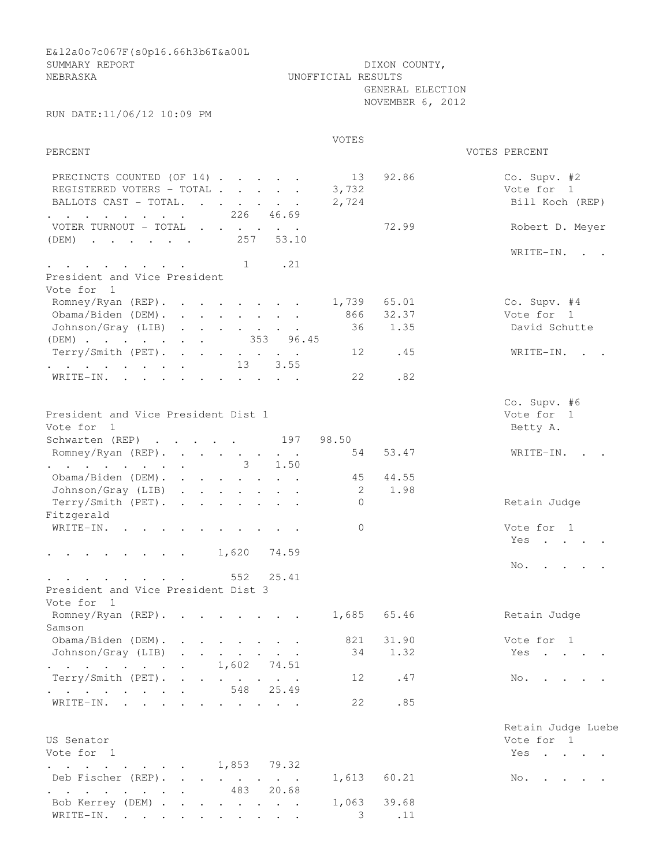E&l2a0o7c067F(s0p16.66h3b6T&a00L SUMMARY REPORT DIXON COUNTY, NEBRASKA UNOFFICIAL RESULTS GENERAL ELECTION NOVEMBER 6, 2012 RUN DATE:11/06/12 10:09 PM VOTES PERCENT VOTES PERCENT PRECINCTS COUNTED (OF 14) . . . . . 13 92.86 Co. Supv. #2<br>PEGISTERED VOTERS - TOTAL . . . . 3,732 Vote for 1 REGISTERED VOTERS - TOTAL . . . . 3,732 Vote for 1 BALLOTS CAST - TOTAL. . . . . . 2,724 Bill Koch (REP) . . . . . . . 226 46.69 VOTER TURNOUT - TOTAL . . . . . . 72.99 Robert D. Meyer (DEM) . . . . . 257 53.10 WRITE-IN. . . . . . . . . . . 1 .21 President and Vice President Vote for 1 Romney/Ryan (REP). . . . . . . 1,739 65.01 Co. Supv. #4 Obama/Biden (DEM). . . . . . . . 866 32.37 Vote for 1 Johnson/Gray (LIB) . . . . . . . 36 1.35 David Schutte (DEM) . . . . . . . 353 96.45 Terry/Smith (PET). . . . . . . 12 .45 WRITE-IN. . . . . . . . . . . 13 3.55 WRITE-IN. . . . . . . . . . . 22 .82 Co. Supv. #6 President and Vice President Dist 1 vote for 1 Vote for 1 Betty A. Schwarten (REP) . . . . . 197 98.50 Romney/Ryan (REP). . . . . . . . 54 53.47 WRITE-IN. . . . . . . . . . . 3 1.50 Obama/Biden (DEM). . . . . . . . 45 44.55 Johnson/Gray (LIB) . . . . . . . 2 1.98 Terry/Smith (PET). . . . . . . 0 Retain Judge Fitzgerald WRITE-IN. . . . . . . . . . 0 Vote for 1 Yes . . . .  $\cdot$  . . . . . . . 1,620 74.59 No. . . . . . . . . . . . . 552 25.41 President and Vice President Dist 3 Vote for 1 Romney/Ryan (REP). . . . . . . 1,685 65.46 Retain Judge Samson Obama/Biden (DEM). . . . . . . . 821 31.90 Vote for 1 Johnson/Gray (LIB) . . . . . . 34 1.32 Yes . . . . . . . . . . . . 1,602 74.51  $Terry/Smith (PET).$  . . . . . . 12 .47 No. . . . . . . . . . . . . 548 25.49 WRITE-IN. . . . . . . . . . . 22 .85 Retain Judge Luebe US Senator Vote for 1 Vote for 1 Yes . . . . . . . . . . . . 1,853 79.32 Deb Fischer (REP). . . . . . . 1,613 60.21 No. . . . . . . . . . . . . 483 20.68 Bob Kerrey (DEM) . . . . . . . . 1,063 39.68 WRITE-IN. . . . . . . . . . . 3 .11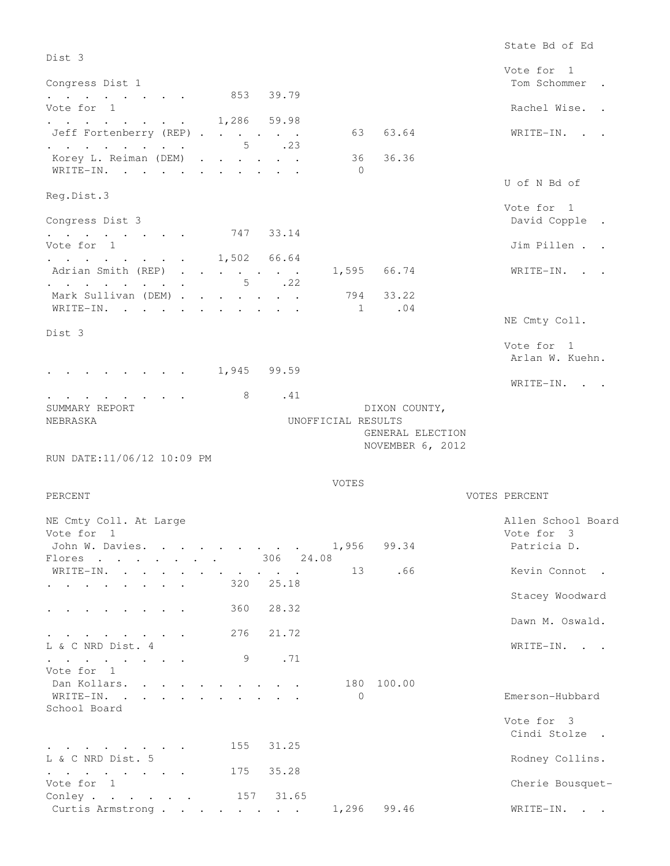State Bd of Ed Dist 3 Vote for 1 Congress Dist 1 Tom Schommer . Tom Schommer . . . . . . . . 853 39.79 Vote for 1 Rachel Wise. . . . . . . . . . 1,286 59.98 Jeff Fortenberry (REP) . . . . . . 63 63.64 WRITE-IN. . . . . . . . . . . 5 .23 Korey L. Reiman (DEM) . . . . . . 36 36.36 WRITE-IN. . . . . . . . . . . 0 U of N Bd of Reg.Dist.3 Vote for 1 Congress Dist 3 David Copple . . . . . . . . 747 33.14 Vote for 1 Jim Pillen . . . . . . . . . 1,502 66.64 Adrian Smith (REP) . . . . . . 1,595 66.74 WRITE-IN. . . . . . . . . . . 5 .22 Mark Sullivan (DEM) . . . . . . . 794 33.22 WRITE-IN. . . . . . . . . . . . 1 .04 NE Cmty Coll. Dist 3 Vote for 1 Arlan W. Kuehn. . . . . . . . . 1,945 99.59 WRITE-IN. . . . . . . . . . . 8 .41 SUMMARY REPORT **EXAMPLE 2018** SUMMARY REPORT NEBRASKA UNOFFICIAL RESULTS GENERAL ELECTION NOVEMBER 6, 2012 RUN DATE:11/06/12 10:09 PM VOTES PERCENT VOTES PERCENT NE Cmty Coll. At Large  $\qquad$  Allen School Board Vote for 1 Vote for 3 John W. Davies. . . . . . . . . 1,956 99.34 Patricia D. Flores . . . . . . 306 24.08 WRITE-IN. . . . . . . . . . . 13 .66 Kevin Connot . . . . . . . . . 320 25.18 Stacey Woodward . . . . . . . . 360 28.32 Dawn M. Oswald. . . . . . . . 276 21.72 L & C NRD Dist. 4 WRITE-IN. . . . . . . . . . . 9 .71 Vote for 1 Dan Kollars. . . . . . . . . . 180 100.00 WRITE-IN. . . . . . . . . . . 0 Emerson-Hubbard School Board Vote for 3 Cindi Stolze . . . . . . . . . 155 31.25 L & C NRD Dist. 5 Rodney Collins. . . . . . . . 175 35.28<br>Vote for 1 Cherie Bousquet-Conley . . . . . 157 31.65 Curtis Armstrong . . . . . . . . 1,296 99.46 WRITE-IN. . .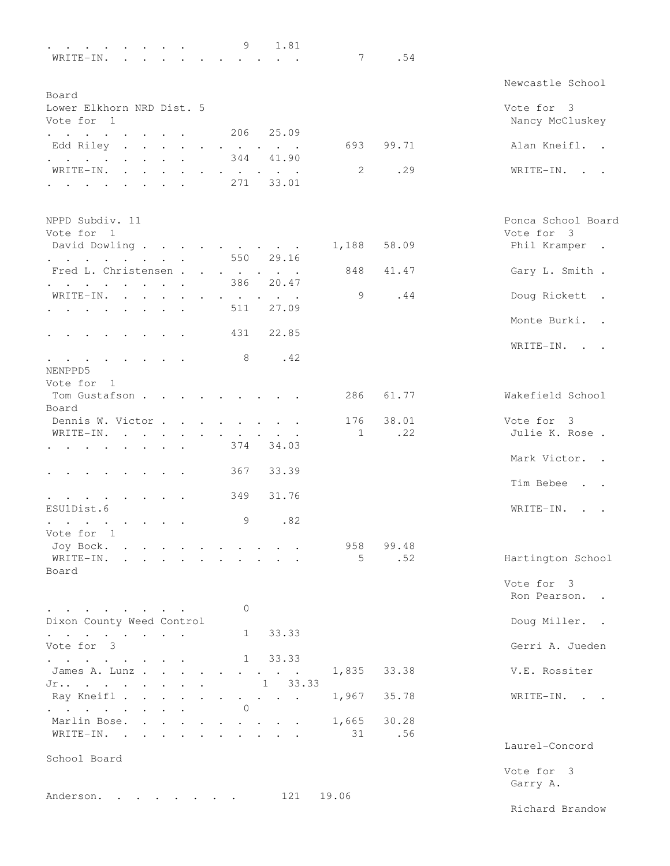| $\mathbf{r} = \mathbf{r} - \mathbf{r}$ , $\mathbf{r} = \mathbf{r} - \mathbf{r}$ , $\mathbf{r} = \mathbf{r}$ |               |                                            |               | 9                               | 1.81                                                                                                                                                                                                                              |              |       |                    |
|-------------------------------------------------------------------------------------------------------------|---------------|--------------------------------------------|---------------|---------------------------------|-----------------------------------------------------------------------------------------------------------------------------------------------------------------------------------------------------------------------------------|--------------|-------|--------------------|
| WRITE-IN.<br>$\mathbf{r} = \mathbf{r}$ , $\mathbf{r} = \mathbf{r}$                                          |               |                                            |               | $\cdot$ $\cdot$ $\cdot$ $\cdot$ |                                                                                                                                                                                                                                   | 7            | .54   |                    |
|                                                                                                             |               |                                            |               |                                 |                                                                                                                                                                                                                                   |              |       | Newcastle School   |
| Board                                                                                                       |               |                                            |               |                                 |                                                                                                                                                                                                                                   |              |       |                    |
| Lower Elkhorn NRD Dist. 5                                                                                   |               |                                            |               |                                 |                                                                                                                                                                                                                                   |              |       | Vote for 3         |
| Vote for 1                                                                                                  |               |                                            |               |                                 |                                                                                                                                                                                                                                   |              |       | Nancy McCluskey    |
| the contract of the contract of the contract of the contract of the contract of                             |               |                                            |               | 206                             | 25.09                                                                                                                                                                                                                             |              |       |                    |
| Edd Riley<br>$\mathbf{r} = \mathbf{r} + \mathbf{r} + \mathbf{r} + \mathbf{r} + \mathbf{r}$                  |               |                                            |               |                                 | $\bullet \qquad \bullet \qquad \bullet \qquad \bullet \qquad \bullet \qquad \bullet$                                                                                                                                              | 693          | 99.71 | Alan Kneifl. .     |
| $\cdot$ $\cdot$ $\cdot$ $\cdot$ $\cdot$ $\cdot$                                                             |               | $\mathbf{r}$ , $\mathbf{r}$ , $\mathbf{r}$ |               | 344                             | 41.90                                                                                                                                                                                                                             |              |       |                    |
| WRITE-IN.                                                                                                   |               |                                            |               |                                 | $\begin{array}{cccccccccccccc} \bullet & \bullet & \bullet & \bullet & \bullet & \bullet & \bullet & \bullet & \bullet & \bullet \end{array}$                                                                                     | 2            | .29   | WRITE-IN.          |
| $\sim$ $\sim$ $\sim$ $\sim$ $\sim$                                                                          |               | $\sim$                                     |               | 271                             | 33.01                                                                                                                                                                                                                             |              |       |                    |
|                                                                                                             |               |                                            |               |                                 |                                                                                                                                                                                                                                   |              |       |                    |
| NPPD Subdiv. 11                                                                                             |               |                                            |               |                                 |                                                                                                                                                                                                                                   |              |       | Ponca School Board |
| Vote for 1                                                                                                  |               |                                            |               |                                 |                                                                                                                                                                                                                                   |              |       | Vote for 3         |
| David Dowling                                                                                               |               |                                            |               |                                 |                                                                                                                                                                                                                                   | 1,188        | 58.09 | Phil Kramper .     |
| $\cdot$ $\cdot$ $\cdot$ $\cdot$ $\cdot$                                                                     |               | and the state of the state of              |               |                                 | 550 29.16                                                                                                                                                                                                                         |              |       |                    |
| Fred L. Christensen                                                                                         |               |                                            |               |                                 |                                                                                                                                                                                                                                   | 848          | 41.47 | Gary L. Smith .    |
| and the contract of the contract of the<br>$\ddotsc$                                                        |               |                                            |               | 386                             | 20.47                                                                                                                                                                                                                             |              |       |                    |
| WRITE-IN.<br>$\sim$<br>$\sim$ 100 $\sim$                                                                    | $\sim$ $\sim$ |                                            |               |                                 |                                                                                                                                                                                                                                   | 9            | .44   | Doug Rickett .     |
| $\sim$<br><b>Contractor</b>                                                                                 |               |                                            |               | 511                             | 27.09                                                                                                                                                                                                                             |              |       |                    |
|                                                                                                             |               |                                            |               |                                 |                                                                                                                                                                                                                                   |              |       | Monte Burki. .     |
| $\sim$ $\sim$ $\sim$                                                                                        | $\sim$        |                                            |               | 431                             | 22.85                                                                                                                                                                                                                             |              |       |                    |
|                                                                                                             |               |                                            |               |                                 |                                                                                                                                                                                                                                   |              |       | WRITE-IN. .        |
|                                                                                                             |               |                                            |               | 8                               | .42                                                                                                                                                                                                                               |              |       |                    |
| $\sim$ 100 $\sim$ 100 $\sim$ 100 $\sim$                                                                     |               |                                            |               |                                 |                                                                                                                                                                                                                                   |              |       |                    |
| NENPPD5                                                                                                     |               |                                            |               |                                 |                                                                                                                                                                                                                                   |              |       |                    |
| Vote for 1                                                                                                  |               |                                            |               |                                 |                                                                                                                                                                                                                                   |              |       |                    |
| Tom Gustafson                                                                                               |               |                                            |               |                                 | $\sim$ $\sim$ $\sim$                                                                                                                                                                                                              | 286          | 61.77 | Wakefield School   |
| Board                                                                                                       |               |                                            |               |                                 |                                                                                                                                                                                                                                   |              |       |                    |
| Dennis W. Victor.                                                                                           |               |                                            |               |                                 | $\mathbf{r}$ . The set of the set of the set of the set of the set of the set of the set of the set of the set of the set of the set of the set of the set of the set of the set of the set of the set of the set of the set of t | 176          | 38.01 | Vote for 3         |
| WRITE-IN.                                                                                                   |               |                                            |               |                                 |                                                                                                                                                                                                                                   | $\mathbf{1}$ | .22   | Julie K. Rose.     |
| $\cdot$ $\cdot$ $\cdot$ $\cdot$ $\cdot$                                                                     |               |                                            |               | 374                             | 34.03                                                                                                                                                                                                                             |              |       |                    |
|                                                                                                             |               |                                            |               |                                 |                                                                                                                                                                                                                                   |              |       | Mark Victor. .     |
|                                                                                                             |               |                                            |               | 367                             | 33.39                                                                                                                                                                                                                             |              |       |                    |
|                                                                                                             |               |                                            |               |                                 |                                                                                                                                                                                                                                   |              |       | Tim Bebee.         |
| $\cdot$ $\cdot$ $\cdot$ $\cdot$ $\cdot$                                                                     |               |                                            |               | 349                             | 31.76                                                                                                                                                                                                                             |              |       |                    |
| ESU1Dist.6                                                                                                  |               |                                            |               |                                 |                                                                                                                                                                                                                                   |              |       | WRITE-IN.          |
| <b>Contract Contract Street</b><br>$\sim$                                                                   |               |                                            |               | 9                               | .82                                                                                                                                                                                                                               |              |       |                    |
| Vote for 1                                                                                                  |               |                                            |               |                                 |                                                                                                                                                                                                                                   |              |       |                    |
| Joy Bock.                                                                                                   |               |                                            |               |                                 |                                                                                                                                                                                                                                   | 958          | 99.48 |                    |
| WRITE-IN.<br>$\cdot$ $\cdot$ $\cdot$ $\cdot$                                                                |               |                                            |               |                                 |                                                                                                                                                                                                                                   | 5            | .52   | Hartington School  |
| Board                                                                                                       |               |                                            |               |                                 |                                                                                                                                                                                                                                   |              |       |                    |
|                                                                                                             |               |                                            |               |                                 |                                                                                                                                                                                                                                   |              |       | Vote for 3         |
|                                                                                                             |               |                                            |               |                                 |                                                                                                                                                                                                                                   |              |       | Ron Pearson. .     |
| $\mathbf{r}$ , and $\mathbf{r}$ , and $\mathbf{r}$ , and $\mathbf{r}$                                       |               |                                            |               | 0                               |                                                                                                                                                                                                                                   |              |       |                    |
| Dixon County Weed Control                                                                                   |               |                                            |               |                                 |                                                                                                                                                                                                                                   |              |       | Doug Miller. .     |
|                                                                                                             |               |                                            |               |                                 |                                                                                                                                                                                                                                   |              |       |                    |
| $\mathbf{r} = \mathbf{r} + \mathbf{r} + \mathbf{r} + \mathbf{r} + \mathbf{r} + \mathbf{r} + \mathbf{r}$     |               |                                            |               | $\mathbf{1}$                    | 33.33                                                                                                                                                                                                                             |              |       | Gerri A. Jueden    |
| Vote for 3                                                                                                  |               |                                            |               |                                 |                                                                                                                                                                                                                                   |              |       |                    |
| and a series of the series of the                                                                           |               |                                            |               |                                 | 1 33.33                                                                                                                                                                                                                           |              |       |                    |
| James A. Lunz                                                                                               |               |                                            | $\bullet$     |                                 |                                                                                                                                                                                                                                   | 1,835        | 33.38 | V.E. Rossiter      |
| $Jr$                                                                                                        |               |                                            |               |                                 | $1 \t33.33$                                                                                                                                                                                                                       |              |       |                    |
| Ray Kneifl .<br>$\sim$ $\sim$                                                                               |               | $\cdots$ $\cdots$                          | $\sim$ $\sim$ |                                 | $\mathbf{z} = \mathbf{z} + \mathbf{z} + \mathbf{z} + \mathbf{z}$                                                                                                                                                                  | 1,967        | 35.78 | WRITE-IN. .        |
| and a series of the contract of the                                                                         |               |                                            |               | $\circ$                         |                                                                                                                                                                                                                                   |              |       |                    |
| Marlin Bose.                                                                                                |               |                                            |               |                                 |                                                                                                                                                                                                                                   | 1,665        | 30.28 |                    |
| WRITE-IN.                                                                                                   |               |                                            |               | $\sim$ $\sim$                   | $\cdot$ $\cdot$                                                                                                                                                                                                                   | 31           | .56   |                    |
|                                                                                                             |               |                                            |               |                                 |                                                                                                                                                                                                                                   |              |       | Laurel-Concord     |
| School Board                                                                                                |               |                                            |               |                                 |                                                                                                                                                                                                                                   |              |       |                    |
|                                                                                                             |               |                                            |               |                                 |                                                                                                                                                                                                                                   |              |       | Vote for 3         |
|                                                                                                             |               |                                            |               |                                 |                                                                                                                                                                                                                                   |              |       | Garry A.           |
| Anderson.                                                                                                   |               |                                            |               |                                 | 121                                                                                                                                                                                                                               | 19.06        |       |                    |
|                                                                                                             |               |                                            |               |                                 |                                                                                                                                                                                                                                   |              |       |                    |

Richard Brandow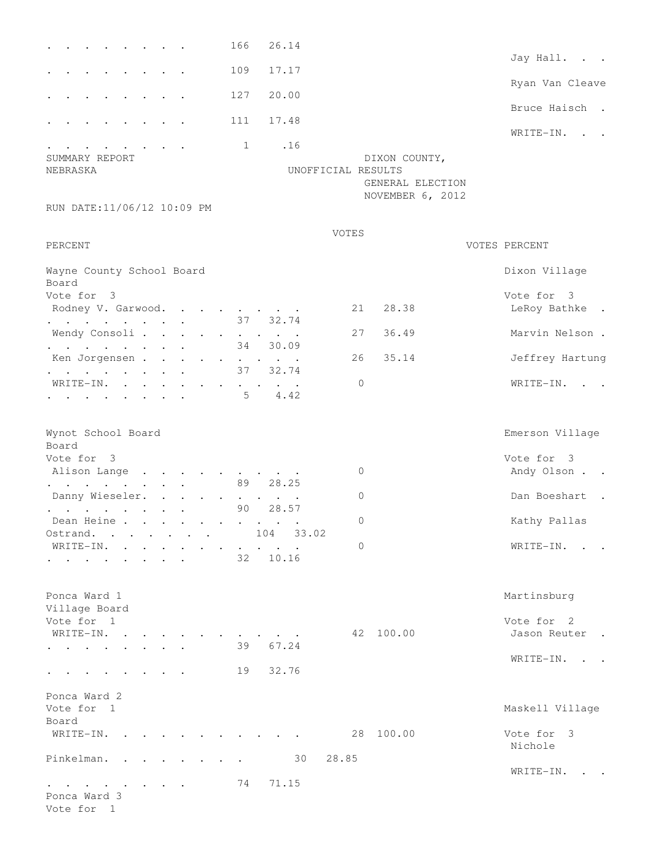|                                                                                                                                                                                                                                                        | 166        | 26.14                   |                    |                                      |                            |
|--------------------------------------------------------------------------------------------------------------------------------------------------------------------------------------------------------------------------------------------------------|------------|-------------------------|--------------------|--------------------------------------|----------------------------|
|                                                                                                                                                                                                                                                        |            |                         |                    |                                      | Jay Hall. .                |
|                                                                                                                                                                                                                                                        | 109        | 17.17                   |                    |                                      | Ryan Van Cleave            |
|                                                                                                                                                                                                                                                        | 127        | 20.00                   |                    |                                      | Bruce Haisch.              |
|                                                                                                                                                                                                                                                        | 111        | 17.48                   |                    |                                      | WRITE-IN. .                |
| SUMMARY REPORT                                                                                                                                                                                                                                         | 1          | .16                     |                    | DIXON COUNTY,                        |                            |
| NEBRASKA                                                                                                                                                                                                                                               |            |                         | UNOFFICIAL RESULTS | GENERAL ELECTION<br>NOVEMBER 6, 2012 |                            |
| RUN DATE:11/06/12 10:09 PM                                                                                                                                                                                                                             |            |                         |                    |                                      |                            |
| PERCENT                                                                                                                                                                                                                                                |            |                         | VOTES              |                                      | VOTES PERCENT              |
| Wayne County School Board<br>Board                                                                                                                                                                                                                     |            |                         |                    |                                      | Dixon Village              |
| Vote for 3                                                                                                                                                                                                                                             |            |                         |                    |                                      | Vote for 3                 |
| Rodney V. Garwood.                                                                                                                                                                                                                                     |            |                         | 21                 | 28.38                                | LeRoy Bathke               |
| and a series of the contract of the<br>Wendy Consoli                                                                                                                                                                                                   |            | 37 32.74                | 27                 | 36.49                                | Marvin Nelson.             |
| $\mathcal{L}^{\mathcal{A}}$ . The set of the set of the set of the set of the $\mathcal{L}^{\mathcal{A}}$                                                                                                                                              | 34         | 30.09                   |                    |                                      |                            |
| Ken Jorgensen                                                                                                                                                                                                                                          |            | 37 32.74                | 26                 | 35.14                                | Jeffrey Hartung            |
| $\mathcal{L}^{\mathcal{A}}$ . The set of the set of the set of the set of the set of the set of the set of the set of the set of the set of the set of the set of the set of the set of the set of the set of the set of the set of the s<br>WRITE-IN. |            |                         | $\Omega$           |                                      | WRITE-IN.                  |
| the contract of the contract of the contract of the contract of the contract of                                                                                                                                                                        |            | 4.42<br>$5 -$           |                    |                                      |                            |
| Wynot School Board                                                                                                                                                                                                                                     |            |                         |                    |                                      | Emerson Village            |
| Board<br>Vote for 3                                                                                                                                                                                                                                    |            |                         |                    |                                      | Vote for 3                 |
| Alison Lange                                                                                                                                                                                                                                           |            |                         | 0                  |                                      | Andy Olson                 |
| and a strong control of the strong strong and<br>Danny Wieseler.                                                                                                                                                                                       | 89         | 28.25<br>$\sim$ $\sim$  | 0                  |                                      | Dan Boeshart               |
| $\mathbf{r} = \mathbf{r} + \mathbf{r} + \mathbf{r} + \mathbf{r} + \mathbf{r} + \mathbf{r} + \mathbf{r}$                                                                                                                                                | 90         | 28.57                   |                    |                                      |                            |
| Dean Heine<br>Ostrand.                                                                                                                                                                                                                                 | $\sim 100$ | 104<br>33.02            | 0                  |                                      | Kathy Pallas               |
| $\sim 100$ km s $^{-1}$<br>WRITE-IN.                                                                                                                                                                                                                   |            | $\sim 100$ km s $^{-1}$ | 0                  |                                      | WRITE-IN. .                |
|                                                                                                                                                                                                                                                        | 32         | 10.16                   |                    |                                      |                            |
| Ponca Ward 1<br>Village Board                                                                                                                                                                                                                          |            |                         |                    |                                      | Martinsburg                |
| Vote for 1<br>WRITE-IN. .                                                                                                                                                                                                                              |            |                         |                    | 42 100.00                            | Vote for 2<br>Jason Reuter |
| $\mathbf{z} = \mathbf{z} + \mathbf{z}$ .<br><b>Contract Contract Contract</b>                                                                                                                                                                          | 39         | 67.24                   |                    |                                      |                            |
| $\bullet$ . In the case of the case of the $\bullet$                                                                                                                                                                                                   | 19         | 32.76                   |                    |                                      | WRITE-IN.                  |
| Ponca Ward 2<br>Vote for 1                                                                                                                                                                                                                             |            |                         |                    |                                      | Maskell Village            |
| Board<br>WRITE-IN.                                                                                                                                                                                                                                     |            |                         | 28                 | 100.00                               | Vote for 3<br>Nichole      |
| Pinkelman.<br>$\sim$ $\sim$ $\sim$                                                                                                                                                                                                                     |            | 30                      | 28.85              |                                      |                            |
|                                                                                                                                                                                                                                                        | 74         | 71.15                   |                    |                                      | WRITE-IN. .                |
| the contract of the contract of the<br>Ponca Ward 3<br>Vote for 1                                                                                                                                                                                      |            |                         |                    |                                      |                            |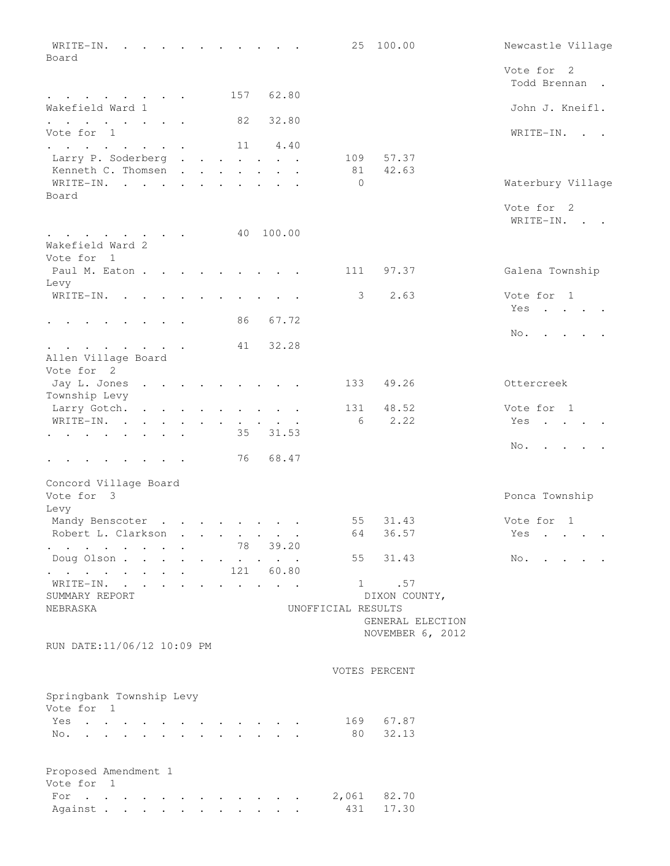| WRITE-IN.<br>$\mathbf{r}$ . The set of $\mathbf{r}$<br>Board                                                                                                         |           |                                            |                                                                                                                                              | 25                 | 100.00           | Newcastle Village             |
|----------------------------------------------------------------------------------------------------------------------------------------------------------------------|-----------|--------------------------------------------|----------------------------------------------------------------------------------------------------------------------------------------------|--------------------|------------------|-------------------------------|
|                                                                                                                                                                      |           |                                            |                                                                                                                                              |                    |                  | Vote for 2                    |
|                                                                                                                                                                      |           |                                            |                                                                                                                                              |                    |                  | Todd Brennan.                 |
| and a strong control of the state of the                                                                                                                             |           | 157                                        | 62.80                                                                                                                                        |                    |                  |                               |
| Wakefield Ward 1<br>$\mathbf{r} = \mathbf{r} \cdot \mathbf{r}$ , where $\mathbf{r} = \mathbf{r} \cdot \mathbf{r}$ , where $\mathbf{r} = \mathbf{r} \cdot \mathbf{r}$ |           | 82                                         | 32.80                                                                                                                                        |                    |                  | John J. Kneifl.               |
| Vote for 1                                                                                                                                                           |           |                                            |                                                                                                                                              |                    |                  | WRITE-IN. .                   |
| $\mathbf{r} = \mathbf{r} + \mathbf{r} + \mathbf{r} + \mathbf{r} + \mathbf{r} + \mathbf{r} + \mathbf{r} + \mathbf{r}$                                                 |           |                                            | 11 4.40                                                                                                                                      |                    |                  |                               |
| Larry P. Soderberg                                                                                                                                                   |           |                                            |                                                                                                                                              | 109                | 57.37            |                               |
| Kenneth C. Thomsen<br>WRITE-IN.                                                                                                                                      |           |                                            |                                                                                                                                              | 81<br>$\mathbf{0}$ | 42.63            |                               |
| Board                                                                                                                                                                |           |                                            |                                                                                                                                              |                    |                  | Waterbury Village             |
|                                                                                                                                                                      |           |                                            |                                                                                                                                              |                    |                  | Vote for 2                    |
|                                                                                                                                                                      |           |                                            |                                                                                                                                              |                    |                  | WRITE-IN.                     |
| the contract of the contract of the contract of the contract of the contract of                                                                                      |           |                                            | 40 100.00                                                                                                                                    |                    |                  |                               |
| Wakefield Ward 2                                                                                                                                                     |           |                                            |                                                                                                                                              |                    |                  |                               |
| Vote for 1                                                                                                                                                           |           |                                            |                                                                                                                                              |                    |                  |                               |
| Paul M. Eaton                                                                                                                                                        |           |                                            |                                                                                                                                              | 111                | 97.37            | Galena Township               |
| Levy                                                                                                                                                                 |           |                                            |                                                                                                                                              |                    |                  |                               |
| WRITE-IN.                                                                                                                                                            | $\bullet$ |                                            |                                                                                                                                              |                    | $3 \sim$<br>2.63 | Vote for 1                    |
| $\cdot$ $\cdot$ $\cdot$ $\cdot$ $\cdot$ $\cdot$ $\cdot$                                                                                                              |           | 86                                         | 67.72                                                                                                                                        |                    |                  | Yes                           |
|                                                                                                                                                                      |           |                                            |                                                                                                                                              |                    |                  | No.                           |
| $\mathbf{r}$ , and $\mathbf{r}$ , and $\mathbf{r}$ , and $\mathbf{r}$                                                                                                |           | 41                                         | 32.28                                                                                                                                        |                    |                  |                               |
| Allen Village Board                                                                                                                                                  |           |                                            |                                                                                                                                              |                    |                  |                               |
| Vote for 2                                                                                                                                                           |           |                                            |                                                                                                                                              |                    |                  |                               |
| Jay L. Jones                                                                                                                                                         |           |                                            |                                                                                                                                              | 133                | 49.26            | Ottercreek                    |
| Township Levy                                                                                                                                                        |           |                                            |                                                                                                                                              |                    |                  |                               |
| Larry Gotch.                                                                                                                                                         |           |                                            | $\cdot$ $\cdot$ $\cdot$ $\cdot$ $\cdot$                                                                                                      | 131                | 48.52            | Vote for 1                    |
| WRITE-IN. .<br><b>All Contracts</b>                                                                                                                                  |           |                                            | $\mathbf{a} = \mathbf{a} \cdot \mathbf{a}$ , and $\mathbf{a} = \mathbf{a} \cdot \mathbf{a}$ , and $\mathbf{a} = \mathbf{a} \cdot \mathbf{a}$ | 6                  | 2.22             | Yes                           |
| the contract of the contract of the contract of the contract of the contract of                                                                                      |           | 35                                         | 31.53                                                                                                                                        |                    |                  |                               |
|                                                                                                                                                                      |           |                                            | 76 68.47                                                                                                                                     |                    |                  | No.                           |
|                                                                                                                                                                      |           |                                            |                                                                                                                                              |                    |                  |                               |
| Concord Village Board                                                                                                                                                |           |                                            |                                                                                                                                              |                    |                  |                               |
| Vote for 3                                                                                                                                                           |           |                                            |                                                                                                                                              |                    |                  | Ponca Township                |
| Levy<br>Mandy Benscoter                                                                                                                                              |           |                                            |                                                                                                                                              | 55                 | 31.43            | Vote for 1                    |
| Robert L. Clarkson.                                                                                                                                                  |           |                                            | $\mathbf{a} = \mathbf{a} + \mathbf{a} + \mathbf{a} + \mathbf{a} + \mathbf{a} + \mathbf{a}$                                                   | 64                 | 36.57            | Yes                           |
| and a series of the series of the series of the                                                                                                                      |           |                                            | 78 39.20                                                                                                                                     |                    |                  |                               |
| Doug Olson                                                                                                                                                           |           |                                            |                                                                                                                                              | 55                 | 31.43            | $No.$ $\cdot$ $\cdot$ $\cdot$ |
| $\mathbf{r} = \mathbf{r} \cdot \mathbf{r}$ , where $\mathbf{r} = \mathbf{r} \cdot \mathbf{r}$ , where $\mathbf{r} = \mathbf{r} \cdot \mathbf{r}$                     |           |                                            | 121 60.80                                                                                                                                    |                    |                  |                               |
| WRITE-IN.                                                                                                                                                            |           |                                            | $\cdot$ $\cdot$ $\cdot$ $\cdot$ $\cdot$ $\cdot$                                                                                              |                    | 1 .57            |                               |
| SUMMARY REPORT                                                                                                                                                       |           |                                            |                                                                                                                                              |                    | DIXON COUNTY,    |                               |
| NEBRASKA                                                                                                                                                             |           |                                            |                                                                                                                                              | UNOFFICIAL RESULTS |                  |                               |
|                                                                                                                                                                      |           |                                            |                                                                                                                                              |                    | GENERAL ELECTION |                               |
| RUN DATE:11/06/12 10:09 PM                                                                                                                                           |           |                                            |                                                                                                                                              |                    | NOVEMBER 6, 2012 |                               |
|                                                                                                                                                                      |           |                                            |                                                                                                                                              |                    |                  |                               |
|                                                                                                                                                                      |           |                                            |                                                                                                                                              |                    | VOTES PERCENT    |                               |
|                                                                                                                                                                      |           |                                            |                                                                                                                                              |                    |                  |                               |
| Springbank Township Levy                                                                                                                                             |           |                                            |                                                                                                                                              |                    |                  |                               |
| Vote for 1                                                                                                                                                           |           |                                            |                                                                                                                                              |                    |                  |                               |
| Yes                                                                                                                                                                  |           |                                            |                                                                                                                                              |                    | 169 67.87        |                               |
| No.                                                                                                                                                                  |           | $\mathbf{r}$ , $\mathbf{r}$ , $\mathbf{r}$ |                                                                                                                                              | 80                 | 32.13            |                               |
|                                                                                                                                                                      |           |                                            |                                                                                                                                              |                    |                  |                               |
| Proposed Amendment 1                                                                                                                                                 |           |                                            |                                                                                                                                              |                    |                  |                               |
| Vote for 1                                                                                                                                                           |           |                                            |                                                                                                                                              |                    |                  |                               |
| For $\cdots$                                                                                                                                                         |           |                                            |                                                                                                                                              | 2,061              | 82.70            |                               |
| Against                                                                                                                                                              |           |                                            |                                                                                                                                              | 431                | 17.30            |                               |